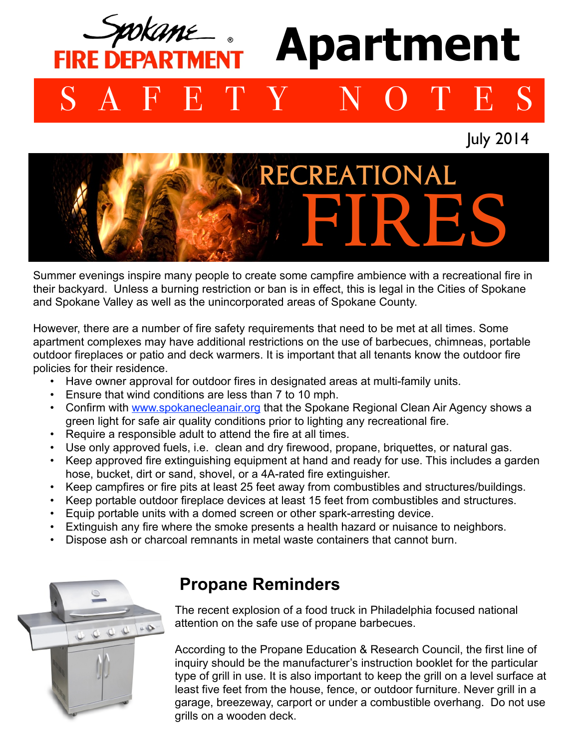## okan **Apartment FIRE DEPARTMEN** SAFETY NOTES

July 2014



Summer evenings inspire many people to create some campfire ambience with a recreational fire in their backyard. Unless a burning restriction or ban is in effect, this is legal in the Cities of Spokane and Spokane Valley as well as the unincorporated areas of Spokane County.

However, there are a number of fire safety requirements that need to be met at all times. Some apartment complexes may have additional restrictions on the use of barbecues, chimneas, portable outdoor fireplaces or patio and deck warmers. It is important that all tenants know the outdoor fire policies for their residence.

- Have owner approval for outdoor fires in designated areas at multi-family units.
- Ensure that wind conditions are less than 7 to 10 mph.
- Confirm with [www.spokanecleanair.org](http://www.spokanecleanair.org) that the Spokane Regional Clean Air Agency shows a green light for safe air quality conditions prior to lighting any recreational fire.
- Require a responsible adult to attend the fire at all times.
- Use only approved fuels, i.e. clean and dry firewood, propane, briquettes, or natural gas.
- Keep approved fire extinguishing equipment at hand and ready for use. This includes a garden hose, bucket, dirt or sand, shovel, or a 4A-rated fire extinguisher.
- Keep campfires or fire pits at least 25 feet away from combustibles and structures/buildings.
- Keep portable outdoor fireplace devices at least 15 feet from combustibles and structures.
- Equip portable units with a domed screen or other spark-arresting device.
- Extinguish any fire where the smoke presents a health hazard or nuisance to neighbors.
- Dispose ash or charcoal remnants in metal waste containers that cannot burn.



## **Propane Reminders**

The recent explosion of a food truck in Philadelphia focused national attention on the safe use of propane barbecues.

According to the Propane Education & Research Council, the first line of inquiry should be the manufacturer's instruction booklet for the particular type of grill in use. It is also important to keep the grill on a level surface at least five feet from the house, fence, or outdoor furniture. Never grill in a garage, breezeway, carport or under a combustible overhang. Do not use grills on a wooden deck.